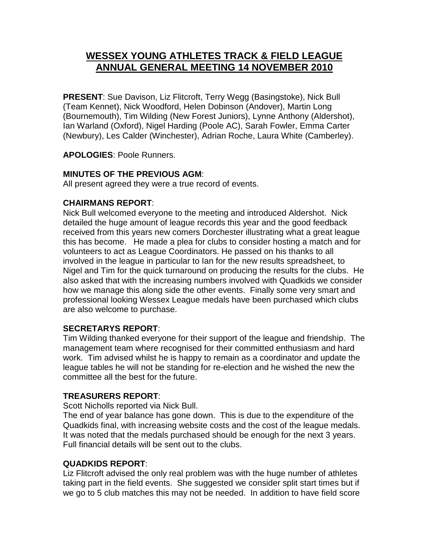# **WESSEX YOUNG ATHLETES TRACK & FIELD LEAGUE ANNUAL GENERAL MEETING 14 NOVEMBER 2010**

**PRESENT**: Sue Davison, Liz Flitcroft, Terry Wegg (Basingstoke), Nick Bull (Team Kennet), Nick Woodford, Helen Dobinson (Andover), Martin Long (Bournemouth), Tim Wilding (New Forest Juniors), Lynne Anthony (Aldershot), Ian Warland (Oxford), Nigel Harding (Poole AC), Sarah Fowler, Emma Carter (Newbury), Les Calder (Winchester), Adrian Roche, Laura White (Camberley).

**APOLOGIES**: Poole Runners.

### **MINUTES OF THE PREVIOUS AGM**:

All present agreed they were a true record of events.

### **CHAIRMANS REPORT**:

Nick Bull welcomed everyone to the meeting and introduced Aldershot. Nick detailed the huge amount of league records this year and the good feedback received from this years new comers Dorchester illustrating what a great league this has become. He made a plea for clubs to consider hosting a match and for volunteers to act as League Coordinators. He passed on his thanks to all involved in the league in particular to Ian for the new results spreadsheet, to Nigel and Tim for the quick turnaround on producing the results for the clubs. He also asked that with the increasing numbers involved with Quadkids we consider how we manage this along side the other events. Finally some very smart and professional looking Wessex League medals have been purchased which clubs are also welcome to purchase.

#### **SECRETARYS REPORT**:

Tim Wilding thanked everyone for their support of the league and friendship. The management team where recognised for their committed enthusiasm and hard work. Tim advised whilst he is happy to remain as a coordinator and update the league tables he will not be standing for re-election and he wished the new the committee all the best for the future.

#### **TREASURERS REPORT**:

Scott Nicholls reported via Nick Bull.

The end of year balance has gone down. This is due to the expenditure of the Quadkids final, with increasing website costs and the cost of the league medals. It was noted that the medals purchased should be enough for the next 3 years. Full financial details will be sent out to the clubs.

#### **QUADKIDS REPORT**:

Liz Flitcroft advised the only real problem was with the huge number of athletes taking part in the field events. She suggested we consider split start times but if we go to 5 club matches this may not be needed. In addition to have field score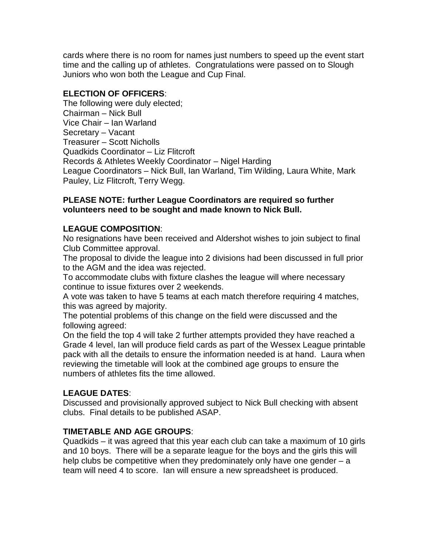cards where there is no room for names just numbers to speed up the event start time and the calling up of athletes. Congratulations were passed on to Slough Juniors who won both the League and Cup Final.

# **ELECTION OF OFFICERS**:

The following were duly elected; Chairman – Nick Bull Vice Chair – Ian Warland Secretary – Vacant Treasurer – Scott Nicholls Quadkids Coordinator – Liz Flitcroft Records & Athletes Weekly Coordinator – Nigel Harding League Coordinators – Nick Bull, Ian Warland, Tim Wilding, Laura White, Mark Pauley, Liz Flitcroft, Terry Wegg.

#### **PLEASE NOTE: further League Coordinators are required so further volunteers need to be sought and made known to Nick Bull.**

#### **LEAGUE COMPOSITION**:

No resignations have been received and Aldershot wishes to join subject to final Club Committee approval.

The proposal to divide the league into 2 divisions had been discussed in full prior to the AGM and the idea was rejected.

To accommodate clubs with fixture clashes the league will where necessary continue to issue fixtures over 2 weekends.

A vote was taken to have 5 teams at each match therefore requiring 4 matches, this was agreed by majority.

The potential problems of this change on the field were discussed and the following agreed:

On the field the top 4 will take 2 further attempts provided they have reached a Grade 4 level, Ian will produce field cards as part of the Wessex League printable pack with all the details to ensure the information needed is at hand. Laura when reviewing the timetable will look at the combined age groups to ensure the numbers of athletes fits the time allowed.

# **LEAGUE DATES**:

Discussed and provisionally approved subject to Nick Bull checking with absent clubs. Final details to be published ASAP.

# **TIMETABLE AND AGE GROUPS**:

Quadkids – it was agreed that this year each club can take a maximum of 10 girls and 10 boys. There will be a separate league for the boys and the girls this will help clubs be competitive when they predominately only have one gender – a team will need 4 to score. Ian will ensure a new spreadsheet is produced.